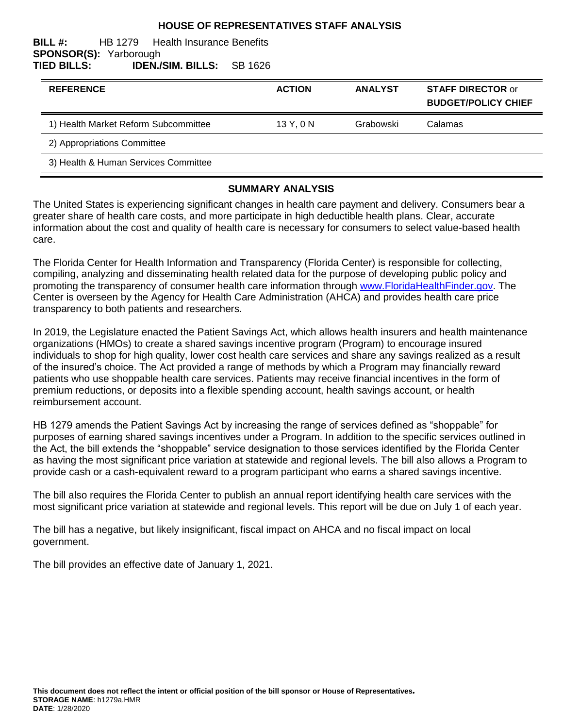### **HOUSE OF REPRESENTATIVES STAFF ANALYSIS**

#### **BILL #:** HB 1279 Health Insurance Benefits **SPONSOR(S):** Yarborough **TIED BILLS: IDEN./SIM. BILLS:** SB 1626

| <b>REFERENCE</b>                     | <b>ACTION</b> | <b>ANALYST</b> | <b>STAFF DIRECTOR or</b><br><b>BUDGET/POLICY CHIEF</b> |
|--------------------------------------|---------------|----------------|--------------------------------------------------------|
| 1) Health Market Reform Subcommittee | 13 Y, 0 N     | Grabowski      | Calamas                                                |
| 2) Appropriations Committee          |               |                |                                                        |
| 3) Health & Human Services Committee |               |                |                                                        |

#### **SUMMARY ANALYSIS**

The United States is experiencing significant changes in health care payment and delivery. Consumers bear a greater share of health care costs, and more participate in high deductible health plans. Clear, accurate information about the cost and quality of health care is necessary for consumers to select value-based health care.

The Florida Center for Health Information and Transparency (Florida Center) is responsible for collecting, compiling, analyzing and disseminating health related data for the purpose of developing public policy and promoting the transparency of consumer health care information through [www.FloridaHealthFinder.gov.](http://www.floridahealthfinder.gov/index.html) The Center is overseen by the Agency for Health Care Administration (AHCA) and provides health care price transparency to both patients and researchers.

In 2019, the Legislature enacted the Patient Savings Act, which allows health insurers and health maintenance organizations (HMOs) to create a shared savings incentive program (Program) to encourage insured individuals to shop for high quality, lower cost health care services and share any savings realized as a result of the insured's choice. The Act provided a range of methods by which a Program may financially reward patients who use shoppable health care services. Patients may receive financial incentives in the form of premium reductions, or deposits into a flexible spending account, health savings account, or health reimbursement account.

HB 1279 amends the Patient Savings Act by increasing the range of services defined as "shoppable" for purposes of earning shared savings incentives under a Program. In addition to the specific services outlined in the Act, the bill extends the "shoppable" service designation to those services identified by the Florida Center as having the most significant price variation at statewide and regional levels. The bill also allows a Program to provide cash or a cash-equivalent reward to a program participant who earns a shared savings incentive.

The bill also requires the Florida Center to publish an annual report identifying health care services with the most significant price variation at statewide and regional levels. This report will be due on July 1 of each year.

The bill has a negative, but likely insignificant, fiscal impact on AHCA and no fiscal impact on local government.

The bill provides an effective date of January 1, 2021.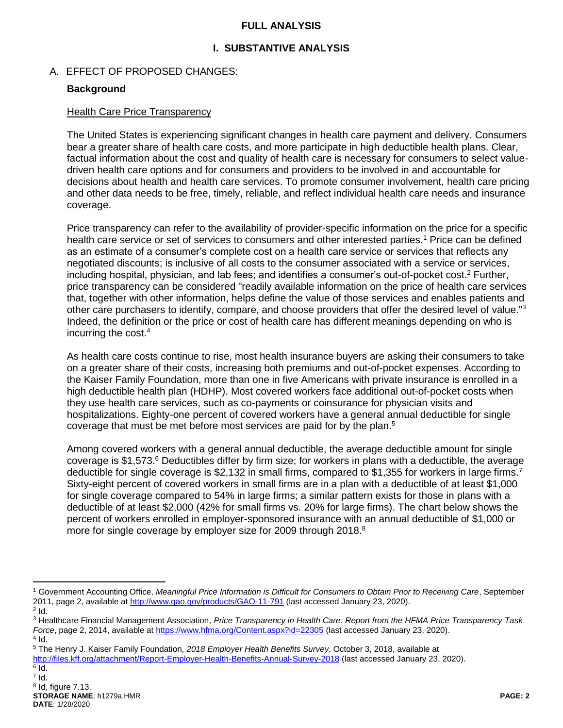### **FULL ANALYSIS**

## **I. SUBSTANTIVE ANALYSIS**

### A. EFFECT OF PROPOSED CHANGES:

### **Background**

#### Health Care Price Transparency

The United States is experiencing significant changes in health care payment and delivery. Consumers bear a greater share of health care costs, and more participate in high deductible health plans. Clear, factual information about the cost and quality of health care is necessary for consumers to select valuedriven health care options and for consumers and providers to be involved in and accountable for decisions about health and health care services. To promote consumer involvement, health care pricing and other data needs to be free, timely, reliable, and reflect individual health care needs and insurance coverage.

Price transparency can refer to the availability of provider-specific information on the price for a specific health care service or set of services to consumers and other interested parties.<sup>1</sup> Price can be defined as an estimate of a consumer's complete cost on a health care service or services that reflects any negotiated discounts; is inclusive of all costs to the consumer associated with a service or services, including hospital, physician, and lab fees; and identifies a consumer's out-of-pocket cost.<sup>2</sup> Further, price transparency can be considered "readily available information on the price of health care services that, together with other information, helps define the value of those services and enables patients and other care purchasers to identify, compare, and choose providers that offer the desired level of value."<sup>3</sup> Indeed, the definition or the price or cost of health care has different meanings depending on who is incurring the cost.<sup>4</sup>

As health care costs continue to rise, most health insurance buyers are asking their consumers to take on a greater share of their costs, increasing both premiums and out-of-pocket expenses. According to the Kaiser Family Foundation, more than one in five Americans with private insurance is enrolled in a high deductible health plan (HDHP). Most covered workers face additional out-of-pocket costs when they use health care services, such as co-payments or coinsurance for physician visits and hospitalizations. Eighty-one percent of covered workers have a general annual deductible for single coverage that must be met before most services are paid for by the plan.<sup>5</sup>

Among covered workers with a general annual deductible, the average deductible amount for single coverage is \$1,573. <sup>6</sup> Deductibles differ by firm size; for workers in plans with a deductible, the average deductible for single coverage is \$2,132 in small firms, compared to \$1,355 for workers in large firms.<sup>7</sup> Sixty-eight percent of covered workers in small firms are in a plan with a deductible of at least \$1,000 for single coverage compared to 54% in large firms; a similar pattern exists for those in plans with a deductible of at least \$2,000 (42% for small firms vs. 20% for large firms). The chart below shows the percent of workers enrolled in employer-sponsored insurance with an annual deductible of \$1,000 or more for single coverage by employer size for 2009 through 2018.<sup>8</sup>

 $\overline{a}$ 

<sup>1</sup> Government Accounting Office, *Meaningful Price Information is Difficult for Consumers to Obtain Prior to Receiving Care*, September 2011, page 2, available a[t http://www.gao.gov/products/GAO-11-791](http://www.gao.gov/products/GAO-11-791) (last accessed January 23, 2020).

 $2$  Id. <sup>3</sup> Healthcare Financial Management Association, *Price Transparency in Health Care: Report from the HFMA Price Transparency Task Force*, page 2, 2014, available a[t https://www.hfma.org/Content.aspx?id=22305](https://www.hfma.org/Content.aspx?id=22305) (last accessed January 23, 2020).

 $4$  Id. <sup>5</sup> The Henry J. Kaiser Family Foundation, *2018 Employer Health Benefits Survey*, October 3, 2018, available at

<http://files.kff.org/attachment/Report-Employer-Health-Benefits-Annual-Survey-2018> (last accessed January 23, 2020).

 $^6$  Id.

 $^7$  Id.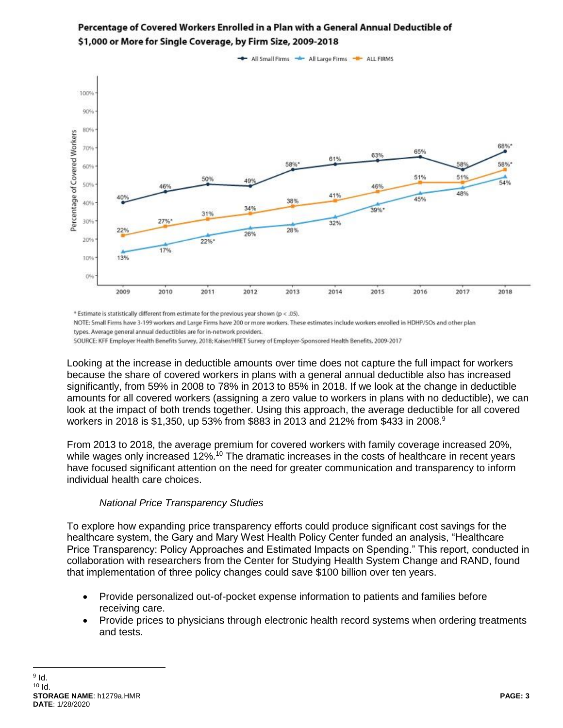

# Percentage of Covered Workers Enrolled in a Plan with a General Annual Deductible of \$1,000 or More for Single Coverage, by Firm Size, 2009-2018

\* Estimate is statistically different from estimate for the previous year shown (p < .05).

NOTE: Small Firms have 3-199 workers and Large Firms have 200 or more workers. These estimates include workers enrolled in HDHP/SOs and other plan types. Average general annual deductibles are for in-network providers.

SOURCE: KFF Employer Health Benefits Survey, 2018; Kaiser/HRET Survey of Employer-Sponsored Health Benefits, 2009-2017

Looking at the increase in deductible amounts over time does not capture the full impact for workers because the share of covered workers in plans with a general annual deductible also has increased significantly, from 59% in 2008 to 78% in 2013 to 85% in 2018. If we look at the change in deductible amounts for all covered workers (assigning a zero value to workers in plans with no deductible), we can look at the impact of both trends together. Using this approach, the average deductible for all covered workers in 2018 is \$1,350, up 53% from \$883 in 2013 and 212% from \$433 in 2008.<sup>9</sup>

From 2013 to 2018, the average premium for covered workers with family coverage increased 20%, while wages only increased 12%.<sup>10</sup> The dramatic increases in the costs of healthcare in recent years have focused significant attention on the need for greater communication and transparency to inform individual health care choices.

### *National Price Transparency Studies*

To explore how expanding price transparency efforts could produce significant cost savings for the healthcare system, the Gary and Mary West Health Policy Center funded an analysis, "Healthcare Price Transparency: Policy Approaches and Estimated Impacts on Spending." This report, conducted in collaboration with researchers from the Center for Studying Health System Change and RAND, found that implementation of three policy changes could save \$100 billion over ten years.

- Provide personalized out-of-pocket expense information to patients and families before receiving care.
- Provide prices to physicians through electronic health record systems when ordering treatments and tests.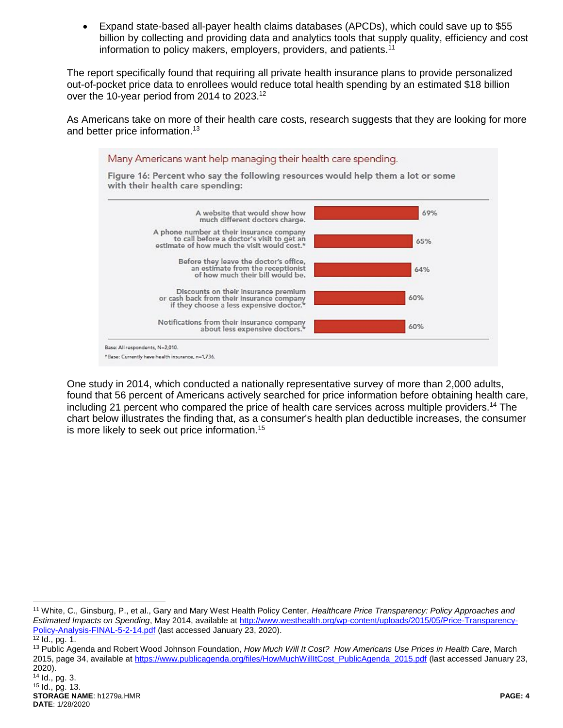Expand state-based all-payer health claims databases (APCDs), which could save up to \$55 billion by collecting and providing data and analytics tools that supply quality, efficiency and cost information to policy makers, employers, providers, and patients.<sup>11</sup>

The report specifically found that requiring all private health insurance plans to provide personalized out-of-pocket price data to enrollees would reduce total health spending by an estimated \$18 billion over the 10-year period from 2014 to 2023.<sup>12</sup>

As Americans take on more of their health care costs, research suggests that they are looking for more and better price information.<sup>13</sup>



One study in 2014, which conducted a nationally representative survey of more than 2,000 adults, found that 56 percent of Americans actively searched for price information before obtaining health care, including 21 percent who compared the price of health care services across multiple providers.<sup>14</sup> The chart below illustrates the finding that, as a consumer's health plan deductible increases, the consumer is more likely to seek out price information.<sup>15</sup>

 $\overline{a}$ 

<sup>11</sup> White, C., Ginsburg, P., et al., Gary and Mary West Health Policy Center, *Healthcare Price Transparency: Policy Approaches and Estimated Impacts on Spending*, May 2014, available a[t http://www.westhealth.org/wp-content/uploads/2015/05/Price-Transparency-](http://www.westhealth.org/wp-content/uploads/2015/05/Price-Transparency-Policy-Analysis-FINAL-5-2-14.pdf)[Policy-Analysis-FINAL-5-2-14.pdf](http://www.westhealth.org/wp-content/uploads/2015/05/Price-Transparency-Policy-Analysis-FINAL-5-2-14.pdf) (last accessed January 23, 2020).

 $\frac{1}{12}$  Id., pg. 1.

<sup>13</sup> Public Agenda and Robert Wood Johnson Foundation, *How Much Will It Cost? How Americans Use Prices in Health Care*, March 2015, page 34, available a[t https://www.publicagenda.org/files/HowMuchWillItCost\\_PublicAgenda\\_2015.pdf](https://www.publicagenda.org/files/HowMuchWillItCost_PublicAgenda_2015.pdf) (last accessed January 23, 2020).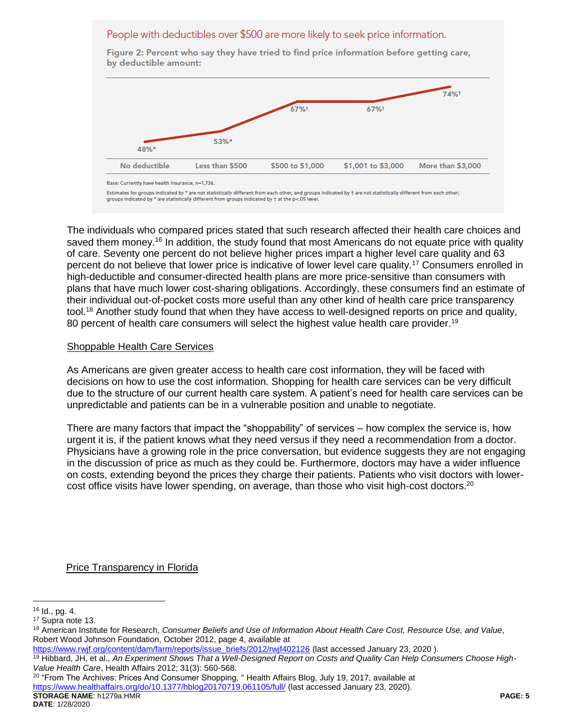### People with deductibles over \$500 are more likely to seek price information.

by deductible amount: 74%+ 67%+ 67%+ 53%\* 48%\* No deductible Less than \$500 \$500 to \$1,000 \$1,001 to \$3,000 More than \$3,000

Figure 2: Percent who say they have tried to find price information before getting care,

Estimates for groups indicated by \* are not statistically different from each other, and groups indicated by + are not statistically different from each other; groups indicated by \* are statistically different from groups indicated by † at the p<.05 level.

The individuals who compared prices stated that such research affected their health care choices and saved them money.<sup>16</sup> In addition, the study found that most Americans do not equate price with quality of care. Seventy one percent do not believe higher prices impart a higher level care quality and 63 percent do not believe that lower price is indicative of lower level care quality.<sup>17</sup> Consumers enrolled in high-deductible and consumer-directed health plans are more price-sensitive than consumers with plans that have much lower cost-sharing obligations. Accordingly, these consumers find an estimate of their individual out-of-pocket costs more useful than any other kind of health care price transparency tool.<sup>18</sup> Another study found that when they have access to well-designed reports on price and quality, 80 percent of health care consumers will select the highest value health care provider.<sup>19</sup>

#### Shoppable Health Care Services

As Americans are given greater access to health care cost information, they will be faced with decisions on how to use the cost information. Shopping for health care services can be very difficult due to the structure of our current health care system. A patient's need for health care services can be unpredictable and patients can be in a vulnerable position and unable to negotiate.

There are many factors that impact the "shoppability" of services – how complex the service is, how urgent it is, if the patient knows what they need versus if they need a recommendation from a doctor. Physicians have a growing role in the price conversation, but evidence suggests they are not engaging in the discussion of price as much as they could be. Furthermore, doctors may have a wider influence on costs, extending beyond the prices they charge their patients. Patients who visit doctors with lowercost office visits have lower spending, on average, than those who visit high-cost doctors.<sup>20</sup>

#### Price Transparency in Florida

 $\overline{a}$ 

**STORAGE NAME**: h1279a.HMR **PAGE: 5**  $20$  "From The Archives: Prices And Consumer Shopping, "Health Affairs Blog, July 19, 2017, available at <https://www.healthaffairs.org/do/10.1377/hblog20170719.061105/full/> (last accessed January 23, 2020).

Base: Currently have health insurance, n=1,736.

 $16$  Id., pg. 4.

<sup>17</sup> Supra note 13.

<sup>18</sup> American Institute for Research, *Consumer Beliefs and Use of Information About Health Care Cost, Resource Use, and Value*, Robert Wood Johnson Foundation, October 2012, page 4, available at

[https://www.rwjf.org/content/dam/farm/reports/issue\\_briefs/2012/rwjf402126](https://www.rwjf.org/content/dam/farm/reports/issue_briefs/2012/rwjf402126) (last accessed January 23, 2020 ).

<sup>19</sup> Hibbard, JH, et al., *An Experiment Shows That a Well-Designed Report on Costs and Quality Can Help Consumers Choose High-Value Health Care*, Health Affairs 2012; 31(3): 560-568.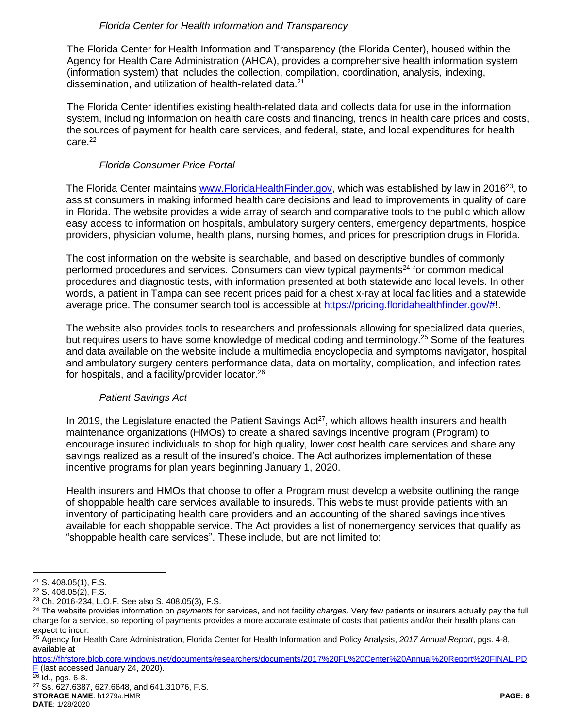### *Florida Center for Health Information and Transparency*

The Florida Center for Health Information and Transparency (the Florida Center), housed within the Agency for Health Care Administration (AHCA), provides a comprehensive health information system (information system) that includes the collection, compilation, coordination, analysis, indexing, dissemination, and utilization of health-related data.<sup>21</sup>

The Florida Center identifies existing health-related data and collects data for use in the information system, including information on health care costs and financing, trends in health care prices and costs, the sources of payment for health care services, and federal, state, and local expenditures for health care. 22

## *Florida Consumer Price Portal*

The Florida Center maintains [www.FloridaHealthFinder.gov,](http://www.floridahealthfinder.gov/) which was established by law in 2016<sup>23</sup>, to assist consumers in making informed health care decisions and lead to improvements in quality of care in Florida. The website provides a wide array of search and comparative tools to the public which allow easy access to information on hospitals, ambulatory surgery centers, emergency departments, hospice providers, physician volume, health plans, nursing homes, and prices for prescription drugs in Florida.

The cost information on the website is searchable, and based on descriptive bundles of commonly performed procedures and services. Consumers can view typical payments<sup>24</sup> for common medical procedures and diagnostic tests, with information presented at both statewide and local levels. In other words, a patient in Tampa can see recent prices paid for a chest x-ray at local facilities and a statewide average price. The consumer search tool is accessible at [https://pricing.floridahealthfinder.gov/#!](https://pricing.floridahealthfinder.gov/).

The website also provides tools to researchers and professionals allowing for specialized data queries, but requires users to have some knowledge of medical coding and terminology.<sup>25</sup> Some of the features and data available on the website include a multimedia encyclopedia and symptoms navigator, hospital and ambulatory surgery centers performance data, data on mortality, complication, and infection rates for hospitals, and a facility/provider locator.<sup>26</sup>

# *Patient Savings Act*

In 2019, the Legislature enacted the Patient Savings  $Act^{27}$ , which allows health insurers and health maintenance organizations (HMOs) to create a shared savings incentive program (Program) to encourage insured individuals to shop for high quality, lower cost health care services and share any savings realized as a result of the insured's choice. The Act authorizes implementation of these incentive programs for plan years beginning January 1, 2020.

Health insurers and HMOs that choose to offer a Program must develop a website outlining the range of shoppable health care services available to insureds. This website must provide patients with an inventory of participating health care providers and an accounting of the shared savings incentives available for each shoppable service. The Act provides a list of nonemergency services that qualify as "shoppable health care services". These include, but are not limited to:

 $\frac{26}{26}$  Id., pgs. 6-8.

**STORAGE NAME**: h1279a.HMR **PAGE: 6 DATE**: 1/28/2020 <sup>27</sup> Ss. 627.6387, 627.6648, and 641.31076, F.S.

 $\overline{a}$ <sup>21</sup> S. 408.05(1), F.S.

<sup>22</sup> S. 408.05(2), F.S.

<sup>23</sup> Ch. 2016-234, L.O.F. See also S. 408.05(3), F.S.

<sup>24</sup> The website provides information on *payments* for services, and not facility *charges*. Very few patients or insurers actually pay the full charge for a service, so reporting of payments provides a more accurate estimate of costs that patients and/or their health plans can expect to incur.

<sup>25</sup> Agency for Health Care Administration, Florida Center for Health Information and Policy Analysis, *2017 Annual Report*, pgs. 4-8, available at

[https://fhfstore.blob.core.windows.net/documents/researchers/documents/2017%20FL%20Center%20Annual%20Report%20FINAL.PD](https://fhfstore.blob.core.windows.net/documents/researchers/documents/2017%20FL%20Center%20Annual%20Report%20FINAL.PDF) [F](https://fhfstore.blob.core.windows.net/documents/researchers/documents/2017%20FL%20Center%20Annual%20Report%20FINAL.PDF) (last accessed January 24, 2020).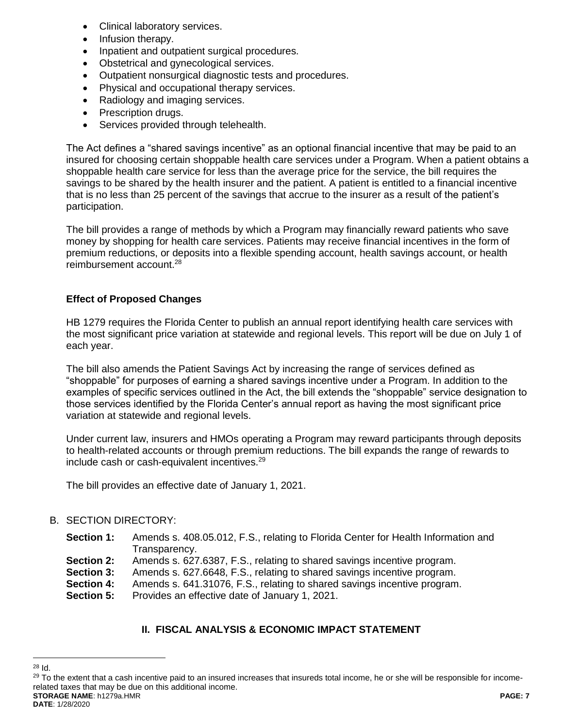- Clinical laboratory services.
- Infusion therapy.
- Inpatient and outpatient surgical procedures.
- Obstetrical and gynecological services.
- Outpatient nonsurgical diagnostic tests and procedures.
- Physical and occupational therapy services.
- Radiology and imaging services.
- Prescription drugs.
- Services provided through telehealth.

The Act defines a "shared savings incentive" as an optional financial incentive that may be paid to an insured for choosing certain shoppable health care services under a Program. When a patient obtains a shoppable health care service for less than the average price for the service, the bill requires the savings to be shared by the health insurer and the patient. A patient is entitled to a financial incentive that is no less than 25 percent of the savings that accrue to the insurer as a result of the patient's participation.

The bill provides a range of methods by which a Program may financially reward patients who save money by shopping for health care services. Patients may receive financial incentives in the form of premium reductions, or deposits into a flexible spending account, health savings account, or health reimbursement account.<sup>28</sup>

# **Effect of Proposed Changes**

HB 1279 requires the Florida Center to publish an annual report identifying health care services with the most significant price variation at statewide and regional levels. This report will be due on July 1 of each year.

The bill also amends the Patient Savings Act by increasing the range of services defined as "shoppable" for purposes of earning a shared savings incentive under a Program. In addition to the examples of specific services outlined in the Act, the bill extends the "shoppable" service designation to those services identified by the Florida Center's annual report as having the most significant price variation at statewide and regional levels.

Under current law, insurers and HMOs operating a Program may reward participants through deposits to health-related accounts or through premium reductions. The bill expands the range of rewards to include cash or cash-equivalent incentives.<sup>29</sup>

The bill provides an effective date of January 1, 2021.

# B. SECTION DIRECTORY:

- **Section 1:** Amends s. 408.05.012, F.S., relating to Florida Center for Health Information and Transparency.
- **Section 2:** Amends s. 627.6387, F.S., relating to shared savings incentive program.
- **Section 3:** Amends s. 627.6648, F.S., relating to shared savings incentive program.
- **Section 4:** Amends s. 641.31076, F.S., relating to shared savings incentive program.
- **Section 5:** Provides an effective date of January 1, 2021.

# **II. FISCAL ANALYSIS & ECONOMIC IMPACT STATEMENT**

 $\overline{a}$ <sup>28</sup> Id.

**STORAGE NAME**: h1279a.HMR **PAGE: 7** <sup>29</sup> To the extent that a cash incentive paid to an insured increases that insureds total income, he or she will be responsible for incomerelated taxes that may be due on this additional income.